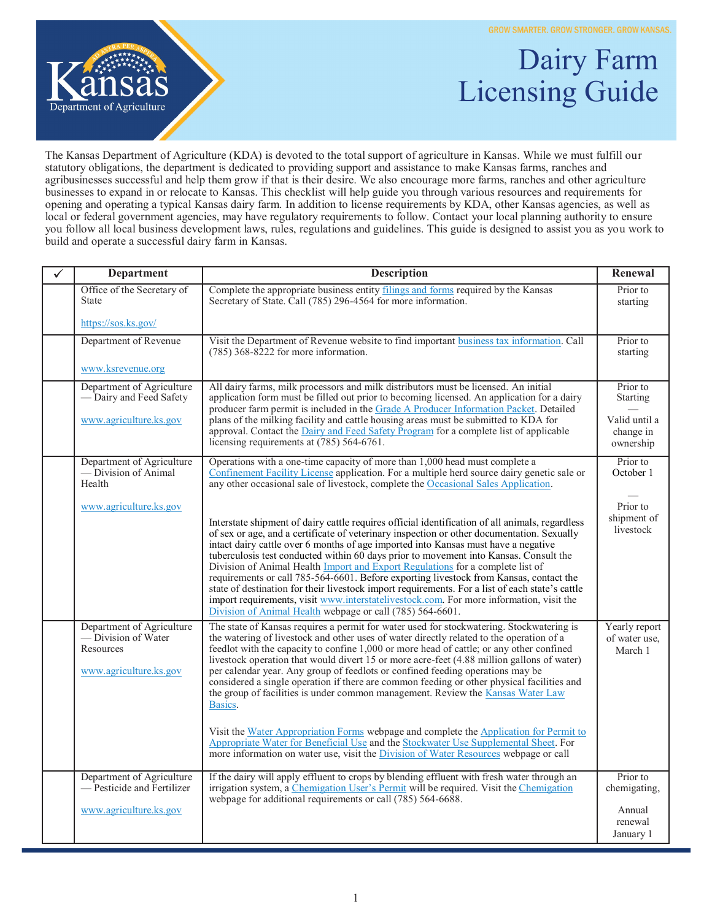GROW SMARTER. GROW STRONGER. GROW KANSAS.



## Dairy Farm Licensing Guide

The Kansas Department of Agriculture (KDA) is devoted to the total support of agriculture in Kansas. While we must fulfill our statutory obligations, the department is dedicated to providing support and assistance to make Kansas farms, ranches and agribusinesses successful and help them grow if that is their desire. We also encourage more farms, ranches and other agriculture businesses to expand in or relocate to Kansas. This checklist will help guide you through various resources and requirements for opening and operating a typical Kansas dairy farm. In addition to license requirements by KDA, other Kansas agencies, as well as local or federal government agencies, may have regulatory requirements to follow. Contact your local planning authority to ensure you follow all local business development laws, rules, regulations and guidelines. This guide is designed to assist you as you work to build and operate a successful dairy farm in Kansas.

| ✓ | <b>Department</b>                                                                       | <b>Description</b>                                                                                                                                                                                                                                                                                                                                                                                                                                                                                                                                                                                                                                                                                                                                                                                                                                                                                                                           | Renewal                                   |
|---|-----------------------------------------------------------------------------------------|----------------------------------------------------------------------------------------------------------------------------------------------------------------------------------------------------------------------------------------------------------------------------------------------------------------------------------------------------------------------------------------------------------------------------------------------------------------------------------------------------------------------------------------------------------------------------------------------------------------------------------------------------------------------------------------------------------------------------------------------------------------------------------------------------------------------------------------------------------------------------------------------------------------------------------------------|-------------------------------------------|
|   | Office of the Secretary of<br><b>State</b>                                              | Complete the appropriate business entity filings and forms required by the Kansas<br>Secretary of State. Call (785) 296-4564 for more information.                                                                                                                                                                                                                                                                                                                                                                                                                                                                                                                                                                                                                                                                                                                                                                                           | Prior to<br>starting                      |
|   | https://sos.ks.gov/                                                                     |                                                                                                                                                                                                                                                                                                                                                                                                                                                                                                                                                                                                                                                                                                                                                                                                                                                                                                                                              |                                           |
|   | Department of Revenue                                                                   | Visit the Department of Revenue website to find important business tax information. Call<br>$(785)$ 368-8222 for more information.                                                                                                                                                                                                                                                                                                                                                                                                                                                                                                                                                                                                                                                                                                                                                                                                           | Prior to<br>starting                      |
|   | www.ksrevenue.org                                                                       |                                                                                                                                                                                                                                                                                                                                                                                                                                                                                                                                                                                                                                                                                                                                                                                                                                                                                                                                              |                                           |
|   | Department of Agriculture<br>— Dairy and Feed Safety                                    | All dairy farms, milk processors and milk distributors must be licensed. An initial<br>application form must be filled out prior to becoming licensed. An application for a dairy<br>producer farm permit is included in the Grade A Producer Information Packet. Detailed                                                                                                                                                                                                                                                                                                                                                                                                                                                                                                                                                                                                                                                                   | Prior to<br><b>Starting</b>               |
|   | www.agriculture.ks.gov                                                                  | plans of the milking facility and cattle housing areas must be submitted to KDA for<br>approval. Contact the Dairy and Feed Safety Program for a complete list of applicable<br>licensing requirements at (785) 564-6761.                                                                                                                                                                                                                                                                                                                                                                                                                                                                                                                                                                                                                                                                                                                    | Valid until a<br>change in<br>ownership   |
|   | Department of Agriculture<br>- Division of Animal<br>Health                             | Operations with a one-time capacity of more than 1,000 head must complete a<br>Confinement Facility License application. For a multiple herd source dairy genetic sale or<br>any other occasional sale of livestock, complete the Occasional Sales Application.                                                                                                                                                                                                                                                                                                                                                                                                                                                                                                                                                                                                                                                                              | Prior to<br>October 1                     |
|   | www.agriculture.ks.gov                                                                  | Interstate shipment of dairy cattle requires official identification of all animals, regardless<br>of sex or age, and a certificate of veterinary inspection or other documentation. Sexually<br>intact dairy cattle over 6 months of age imported into Kansas must have a negative<br>tuberculosis test conducted within 60 days prior to movement into Kansas. Consult the<br>Division of Animal Health Import and Export Regulations for a complete list of<br>requirements or call 785-564-6601. Before exporting livestock from Kansas, contact the<br>state of destination for their livestock import requirements. For a list of each state's cattle<br>import requirements, visit www.interstatelivestock.com. For more information, visit the<br>Division of Animal Health webpage or call (785) 564-6601.                                                                                                                          | Prior to<br>shipment of<br>livestock      |
|   | Department of Agriculture<br>— Division of Water<br>Resources<br>www.agriculture.ks.gov | The state of Kansas requires a permit for water used for stockwatering. Stockwatering is<br>the watering of livestock and other uses of water directly related to the operation of a<br>feedlot with the capacity to confine 1,000 or more head of cattle; or any other confined<br>livestock operation that would divert 15 or more acre-feet (4.88 million gallons of water)<br>per calendar year. Any group of feedlots or confined feeding operations may be<br>considered a single operation if there are common feeding or other physical facilities and<br>the group of facilities is under common management. Review the Kansas Water Law<br>Basics.<br>Visit the Water Appropriation Forms webpage and complete the Application for Permit to<br>Appropriate Water for Beneficial Use and the Stockwater Use Supplemental Sheet. For<br>more information on water use, visit the <i>Division of Water Resources</i> webpage or call | Yearly report<br>of water use,<br>March 1 |
|   | Department of Agriculture<br>- Pesticide and Fertilizer<br>www.agriculture.ks.gov       | If the dairy will apply effluent to crops by blending effluent with fresh water through an<br>irrigation system, a Chemigation User's Permit will be required. Visit the Chemigation<br>webpage for additional requirements or call (785) 564-6688.                                                                                                                                                                                                                                                                                                                                                                                                                                                                                                                                                                                                                                                                                          | Prior to<br>chemigating,<br>Annual        |
|   |                                                                                         |                                                                                                                                                                                                                                                                                                                                                                                                                                                                                                                                                                                                                                                                                                                                                                                                                                                                                                                                              | renewal<br>January 1                      |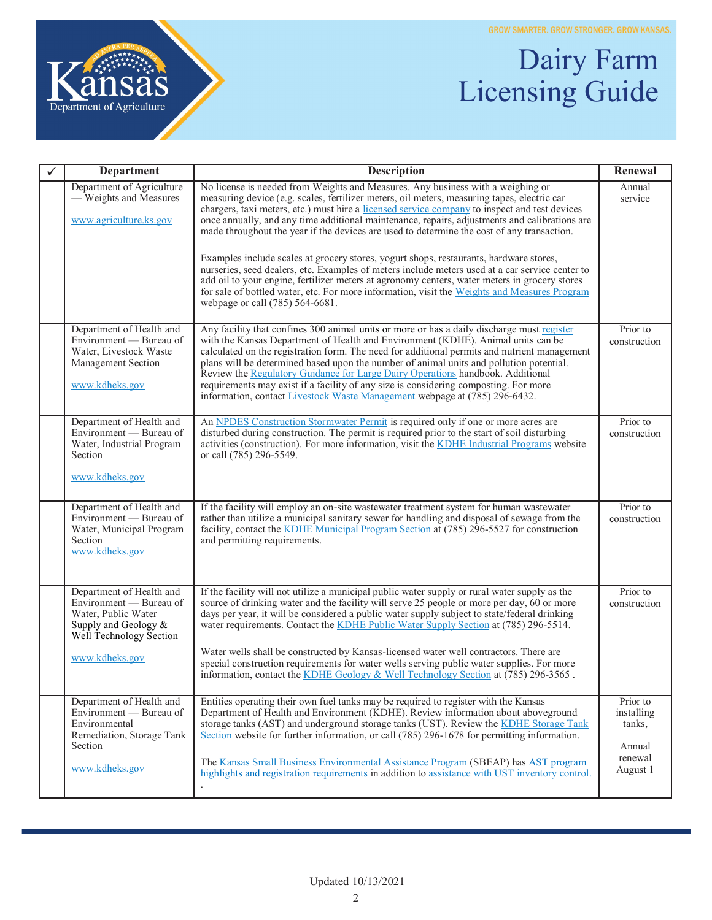

## Dairy Farm Licensing Guide

| <b>Department</b>                                                                                                             | <b>Description</b>                                                                                                                                                                                                                                                                                                                                                                                                                                                                                                                                                                                                                | Renewal                                    |
|-------------------------------------------------------------------------------------------------------------------------------|-----------------------------------------------------------------------------------------------------------------------------------------------------------------------------------------------------------------------------------------------------------------------------------------------------------------------------------------------------------------------------------------------------------------------------------------------------------------------------------------------------------------------------------------------------------------------------------------------------------------------------------|--------------------------------------------|
| Department of Agriculture<br>— Weights and Measures<br>www.agriculture.ks.gov                                                 | No license is needed from Weights and Measures. Any business with a weighing or<br>measuring device (e.g. scales, fertilizer meters, oil meters, measuring tapes, electric car<br>chargers, taxi meters, etc.) must hire a licensed service company to inspect and test devices<br>once annually, and any time additional maintenance, repairs, adjustments and calibrations are<br>made throughout the year if the devices are used to determine the cost of any transaction.                                                                                                                                                    | Annual<br>service                          |
|                                                                                                                               | Examples include scales at grocery stores, yogurt shops, restaurants, hardware stores,<br>nurseries, seed dealers, etc. Examples of meters include meters used at a car service center to<br>add oil to your engine, fertilizer meters at agronomy centers, water meters in grocery stores<br>for sale of bottled water, etc. For more information, visit the Weights and Measures Program<br>webpage or call (785) 564-6681.                                                                                                                                                                                                     |                                            |
| Department of Health and<br>Environment — Bureau of<br>Water, Livestock Waste<br>Management Section<br>www.kdheks.gov         | Any facility that confines 300 animal units or more or has a daily discharge must register<br>with the Kansas Department of Health and Environment (KDHE). Animal units can be<br>calculated on the registration form. The need for additional permits and nutrient management<br>plans will be determined based upon the number of animal units and pollution potential.<br>Review the Regulatory Guidance for Large Dairy Operations handbook. Additional<br>requirements may exist if a facility of any size is considering composting. For more<br>information, contact Livestock Waste Management webpage at (785) 296-6432. | Prior to<br>construction                   |
| Department of Health and<br>Environment — Bureau of<br>Water, Industrial Program<br>Section<br>www.kdheks.gov                 | An NPDES Construction Stormwater Permit is required only if one or more acres are<br>disturbed during construction. The permit is required prior to the start of soil disturbing<br>activities (construction). For more information, visit the KDHE Industrial Programs website<br>or call (785) 296-5549.                                                                                                                                                                                                                                                                                                                        | Prior to<br>construction                   |
| Department of Health and<br>Environment — Bureau of<br>Water, Municipal Program<br>Section<br>www.kdheks.gov                  | If the facility will employ an on-site wastewater treatment system for human wastewater<br>rather than utilize a municipal sanitary sewer for handling and disposal of sewage from the<br>facility, contact the KDHE Municipal Program Section at (785) 296-5527 for construction<br>and permitting requirements.                                                                                                                                                                                                                                                                                                                 | Prior to<br>construction                   |
| Department of Health and<br>Environment — Bureau of<br>Water, Public Water<br>Supply and Geology &<br>Well Technology Section | If the facility will not utilize a municipal public water supply or rural water supply as the<br>source of drinking water and the facility will serve 25 people or more per day, 60 or more<br>days per year, it will be considered a public water supply subject to state/federal drinking<br>water requirements. Contact the KDHE Public Water Supply Section at (785) 296-5514.<br>Water wells shall be constructed by Kansas-licensed water well contractors. There are                                                                                                                                                       | Prior to<br>construction                   |
| www.kdheks.gov                                                                                                                | special construction requirements for water wells serving public water supplies. For more<br>information, contact the KDHE Geology & Well Technology Section at $(785)$ 296-3565.                                                                                                                                                                                                                                                                                                                                                                                                                                                 |                                            |
| Department of Health and<br>Environment — Bureau of<br>Environmental<br>Remediation, Storage Tank<br>Section                  | Entities operating their own fuel tanks may be required to register with the Kansas<br>Department of Health and Environment (KDHE). Review information about above ground<br>storage tanks (AST) and underground storage tanks (UST). Review the KDHE Storage Tank<br>Section website for further information, or call (785) 296-1678 for permitting information.                                                                                                                                                                                                                                                                 | Prior to<br>installing<br>tanks,<br>Annual |
| www.kdheks.gov                                                                                                                | The Kansas Small Business Environmental Assistance Program (SBEAP) has AST program<br>highlights and registration requirements in addition to assistance with UST inventory control.                                                                                                                                                                                                                                                                                                                                                                                                                                              | renewal<br>August 1                        |